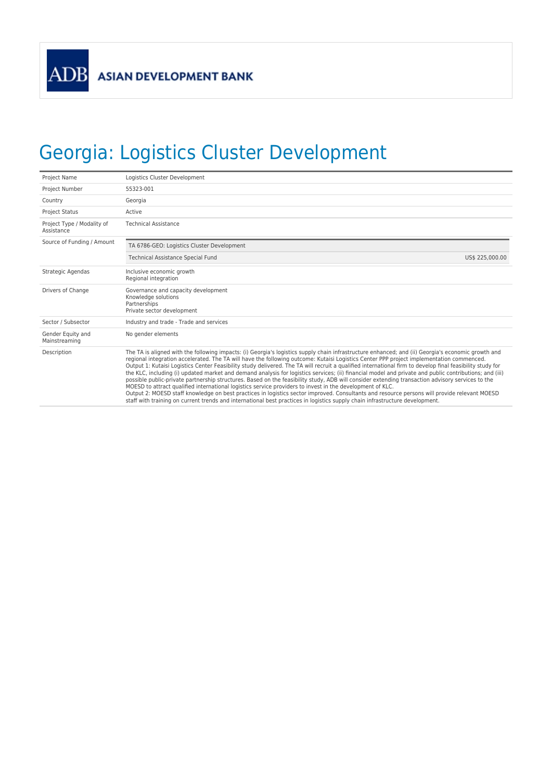## Georgia: Logistics Cluster Development

| Project Name                             | Logistics Cluster Development                                                                                                                                                                                                                                                                                                                                                                                                                                                                                                                                                                                                                                                                                                                                                                                                                                                                                                                                                                                                                                                                                                                                          |  |  |  |  |  |
|------------------------------------------|------------------------------------------------------------------------------------------------------------------------------------------------------------------------------------------------------------------------------------------------------------------------------------------------------------------------------------------------------------------------------------------------------------------------------------------------------------------------------------------------------------------------------------------------------------------------------------------------------------------------------------------------------------------------------------------------------------------------------------------------------------------------------------------------------------------------------------------------------------------------------------------------------------------------------------------------------------------------------------------------------------------------------------------------------------------------------------------------------------------------------------------------------------------------|--|--|--|--|--|
| Project Number                           | 55323-001                                                                                                                                                                                                                                                                                                                                                                                                                                                                                                                                                                                                                                                                                                                                                                                                                                                                                                                                                                                                                                                                                                                                                              |  |  |  |  |  |
| Country                                  | Georgia                                                                                                                                                                                                                                                                                                                                                                                                                                                                                                                                                                                                                                                                                                                                                                                                                                                                                                                                                                                                                                                                                                                                                                |  |  |  |  |  |
| <b>Project Status</b>                    | Active                                                                                                                                                                                                                                                                                                                                                                                                                                                                                                                                                                                                                                                                                                                                                                                                                                                                                                                                                                                                                                                                                                                                                                 |  |  |  |  |  |
| Project Type / Modality of<br>Assistance | <b>Technical Assistance</b>                                                                                                                                                                                                                                                                                                                                                                                                                                                                                                                                                                                                                                                                                                                                                                                                                                                                                                                                                                                                                                                                                                                                            |  |  |  |  |  |
| Source of Funding / Amount               | TA 6786-GEO: Logistics Cluster Development                                                                                                                                                                                                                                                                                                                                                                                                                                                                                                                                                                                                                                                                                                                                                                                                                                                                                                                                                                                                                                                                                                                             |  |  |  |  |  |
|                                          | <b>Technical Assistance Special Fund</b><br>US\$ 225,000.00                                                                                                                                                                                                                                                                                                                                                                                                                                                                                                                                                                                                                                                                                                                                                                                                                                                                                                                                                                                                                                                                                                            |  |  |  |  |  |
| Strategic Agendas                        | Inclusive economic growth<br>Regional integration                                                                                                                                                                                                                                                                                                                                                                                                                                                                                                                                                                                                                                                                                                                                                                                                                                                                                                                                                                                                                                                                                                                      |  |  |  |  |  |
| Drivers of Change                        | Governance and capacity development<br>Knowledge solutions<br>Partnerships<br>Private sector development                                                                                                                                                                                                                                                                                                                                                                                                                                                                                                                                                                                                                                                                                                                                                                                                                                                                                                                                                                                                                                                               |  |  |  |  |  |
| Sector / Subsector                       | Industry and trade - Trade and services                                                                                                                                                                                                                                                                                                                                                                                                                                                                                                                                                                                                                                                                                                                                                                                                                                                                                                                                                                                                                                                                                                                                |  |  |  |  |  |
| Gender Equity and<br>Mainstreaming       | No gender elements                                                                                                                                                                                                                                                                                                                                                                                                                                                                                                                                                                                                                                                                                                                                                                                                                                                                                                                                                                                                                                                                                                                                                     |  |  |  |  |  |
| Description                              | The TA is aligned with the following impacts: (i) Georgia's logistics supply chain infrastructure enhanced; and (ii) Georgia's economic growth and<br>regional integration accelerated. The TA will have the following outcome: Kutaisi Logistics Center PPP project implementation commenced.<br>Output 1: Kutaisi Logistics Center Feasibility study delivered. The TA will recruit a qualified international firm to develop final feasibility study for<br>the KLC, including (i) updated market and demand analysis for logistics services; (ii) financial model and private and public contributions; and (iii)<br>possible public-private partnership structures. Based on the feasibility study, ADB will consider extending transaction advisory services to the<br>MOESD to attract qualified international logistics service providers to invest in the development of KLC.<br>Output 2: MOESD staff knowledge on best practices in logistics sector improved. Consultants and resource persons will provide relevant MOESD<br>staff with training on current trends and international best practices in logistics supply chain infrastructure development. |  |  |  |  |  |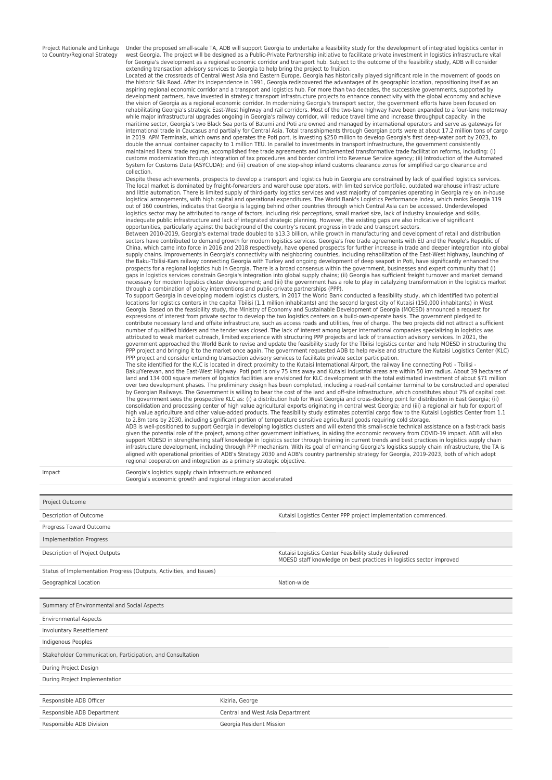Project Rationale and Linkage to Country/Regional Strategy

Under the proposed small-scale TA, ADB will support Georgia to undertake a feasibility study for the development of integrated logistics center in west Georgia. The project will be designed as a Public-Private Partnership initiative to facilitate private investment in logistics infrastructure vital for Georgia's development as a regional economic corridor and transport hub. Subject to the outcome of the feasibility study, ADB will consider

extending transaction advisory services to Georgia to help bring the project to fruition.<br>Located at the crossroads of Central West Asia and Eastern Europe, Georgia has historically played significant role in the movement the historic Silk Road. After its independence in 1991, Georgia rediscovered the advantages of its geographic location, repositioning itself as an aspiring regional economic corridor and a transport and logistics hub. For more than two decades, the successive governments, supported by<br>development partners, have invested in strategic transport infrastructure projects the vision of Georgia as a regional economic corridor. In modernizing Georgia's transport sector, the government efforts have been focused on<br>rehabilitating Georgia's strategic East-West highway and rail corridors. Most of maritime sector, Georgia's two Black Sea ports of Batumi and Poti are owned and managed by international operators and serve as gateways for<br>international trade in Caucasus and partially for Central Asia. Total transshipme in 2019. APM Terminals, which owns and operates the Poti port, is investing \$250 million to develop Georgia's first deep-water port by 2023, to double the annual container capacity to 1 million TEU. In parallel to investments in transport infrastructure, the government consistently<br>maintained liberal trade regime, accomplished free trade agreements and implemented customs modernization through integration of tax procedures and border control into Revenue Service agency; (ii) Introduction of the Automated System for Customs Data (ASYCUDA); and (iii) creation of one stop-shop inland customs clearance zones for simplified cargo clearance and collection.

Despite these achievements, prospects to develop a transport and logistics hub in Georgia are constrained by lack of qualified logistics services.<br>The local market is dominated by freight-forwarders and warehouse operators logistical arrangements, with high capital and operational expenditures. The World Bank's Logistics Performance Index, which ranks Georgia 119<br>out of 160 countries, indicates that Georgia is lagging behind other countries inadequate public infrastructure and lack of integrated strategic planning. However, the existing gaps are also indicative of significant<br>opportunities, particularly against the background of the country's recent progress

sectors have contributed to demand growth for modern logistics services. Georgia's free trade agreements with EU and the People's Republic of<br>China, which came into force in 2016 and 2018 respectively, have opened prospect gaps in logistics services constrain Georgia's integration into global supply chains; (ii) Georgia has sufficient freight turnover and market demand necessary for modern logistics cluster development; and (iii) the government has a role to play in catalyzing transformation in the logistics market<br>through a combination of policy interventions and public-private partners

To support Georgia in developing modern logistics clusters, in 2017 the World Bank conducted a feasibility study, which identified two potential<br>locations for logistics centers in the capital Tbilisi (1.1 million inhabitan expressions of interest from private sector to develop the two logistics centers on a build-own-operate basis. The government pledged to contribute necessary land and offsite infrastructure, such as access roads and utilities, free of charge. The two projects did not attract a sufficient<br>number of qualified bidders and the tender was closed. The lack of int attributed to weak market outreach, limited experience with structuring PPP projects and lack of transaction advisory services. In 2021, the<br>government approached the World Bank to revise and update the feasibility study f PPP project and bringing it to the market once again. The government requested ADB to help revise and structure the Kutaisi Logistics Center (KLC) PPP project and consider extending transaction advisory services to facilitate private sector participation.<br>The site identified for the KLC is located in direct proximity to the Kutaisi International Airport, the railway

Baku/Yerevan, and the East-West Highway. Poti port is only 75 kms away and Kutaisi industrial areas are within 50 km radius. About 39 hectares of land and 134 000 square meters of logistics facilities are envisioned for KLC development with the total estimated investment of about \$71 million<br>over two development phases. The preliminary design has been completed, inc by Georgian Railways. The Government is willing to bear the cost of the land and off-site infrastructure, which constitutes about 7% of capital cost. The government sees the prospective KLC as: (i) a distribution hub for West Georgia and cross-docking point for distribution in East Georgia; (ii)<br>consolidation and processing center of high value agricultural exports orig high value agriculture and other value-added products. The feasibility study estimates potential cargo flow to the Kutaisi Logistics Center from 1.1<br>to 2.8m tons by 2030, including significant portion of temperature sensit

given the potential role of the project, among other government initiatives, in aiding the economic recovery from COVID-19 impact. ADB will also<br>support MOESD in strengthening staff knowledge in logistics sector through tr aligned with operational priorities of ADB's Strategy 2030 and ADB's country partnership strategy for Georgia, 2019-2023, both of which adopt regional cooperation and integration as a primary strategic objective.

|  |  |  | × |  |  |
|--|--|--|---|--|--|
|  |  |  |   |  |  |

Georgia's logistics supply chain infrastructure enhanced Georgia's economic growth and regional integration accelerated

Project Outcome Description of Outcome Kutaisi Logistics Center PPP project implementation commenced. Progress Toward Outcome Implementation Progress Description of Project Outputs **Kutaisi Logistics Center Feasibility study delivered** Kutaisi Logistics Center Feasibility study delivered MOESD staff knowledge on best practices in logistics sector improved Status of Implementation Progress (Outputs, Activities, and Issues) Geographical Location and Communication Communication-wide Summary of Environmental and Social Aspects Environmental Aspects Involuntary Resettlement Indigenous Peoples Stakeholder Communication, Participation, and Consultation During Project Design During Project Implementation Responsible ADB Officer **Kiziria, George Communist ADB** Officer **Kiziria**, George Responsible ADB Department **CENT** Central and West Asia Department Responsible ADB Division Georgia Resident Mission